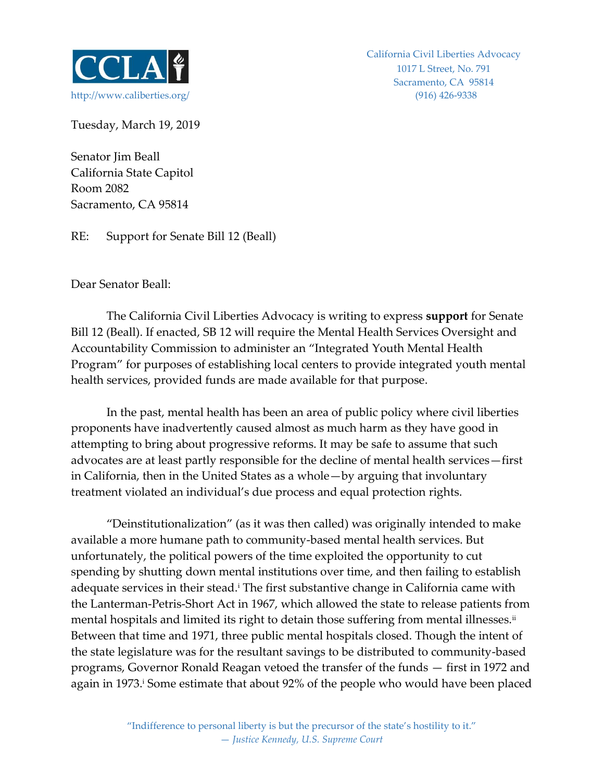

Tuesday, March 19, 2019

Senator Jim Beall California State Capitol Room 2082 Sacramento, CA 95814

RE: Support for Senate Bill 12 (Beall)

Dear Senator Beall:

The California Civil Liberties Advocacy is writing to express **support** for Senate Bill 12 (Beall). If enacted, SB 12 will require the Mental Health Services Oversight and Accountability Commission to administer an "Integrated Youth Mental Health Program" for purposes of establishing local centers to provide integrated youth mental health services, provided funds are made available for that purpose.

In the past, mental health has been an area of public policy where civil liberties proponents have inadvertently caused almost as much harm as they have good in attempting to bring about progressive reforms. It may be safe to assume that such advocates are at least partly responsible for the decline of mental health services—first in California, then in the United States as a whole—by arguing that involuntary treatment violated an individual's due process and equal protection rights.

"Deinstitutionalization" (as it was then called) was originally intended to make available a more humane path to community-based mental health services. But unfortunately, the political powers of the time exploited the opportunity to cut spending by shutting down mental institutions over time, and then failing to establish adequate services in their stead.<sup>i</sup> The first substantive change in California came with the Lanterman-Petris-Short Act in 1967, which allowed the state to release patients from mental hospitals and limited its right to detain those suffering from mental illnesses.<sup>ii</sup> Between that time and 1971, three public mental hospitals closed. Though the intent of the state legislature was for the resultant savings to be distributed to community-based programs, Governor Ronald Reagan vetoed the transfer of the funds — first in 1972 and again in 1973.<sup>*i*</sup> Some estimate that about 92% of the people who would have been placed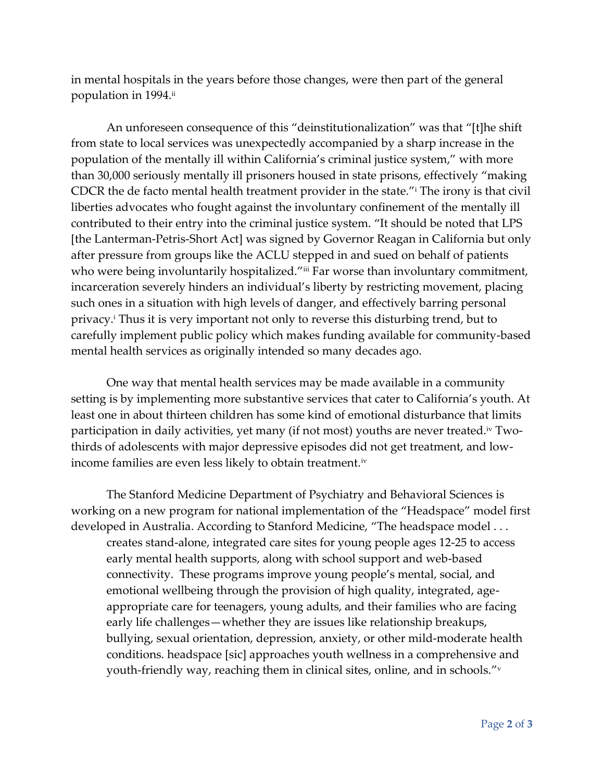in mental hospitals in the years before those changes, were then part of the general population in 1994.ii

An unforeseen consequence of this "deinstitutionalization" was that "[t]he shift from state to local services was unexpectedly accompanied by a sharp increase in the population of the mentally ill within California's criminal justice system," with more than 30,000 seriously mentally ill prisoners housed in state prisons, effectively "making CDCR the de facto mental health treatment provider in the state."<sup>i</sup> The irony is that civil liberties advocates who fought against the involuntary confinement of the mentally ill contributed to their entry into the criminal justice system. "It should be noted that LPS [the Lanterman-Petris-Short Act] was signed by Governor Reagan in California but only after pressure from groups like the ACLU stepped in and sued on behalf of patients who were being involuntarily hospitalized."iii Far worse than involuntary commitment, incarceration severely hinders an individual's liberty by restricting movement, placing such ones in a situation with high levels of danger, and effectively barring personal privacy.<sup>i</sup> Thus it is very important not only to reverse this disturbing trend, but to carefully implement public policy which makes funding available for community-based mental health services as originally intended so many decades ago.

One way that mental health services may be made available in a community setting is by implementing more substantive services that cater to California's youth. At least one in about thirteen children has some kind of emotional disturbance that limits participation in daily activities, yet many (if not most) youths are never treated.<sup>iv</sup> Twothirds of adolescents with major depressive episodes did not get treatment, and lowincome families are even less likely to obtain treatment.<sup>iv</sup>

The Stanford Medicine Department of Psychiatry and Behavioral Sciences is working on a new program for national implementation of the "Headspace" model first developed in Australia. According to Stanford Medicine, "The headspace model . . . creates stand-alone, integrated care sites for young people ages 12-25 to access early mental health supports, along with school support and web-based connectivity. These programs improve young people's mental, social, and emotional wellbeing through the provision of high quality, integrated, ageappropriate care for teenagers, young adults, and their families who are facing early life challenges—whether they are issues like relationship breakups, bullying, sexual orientation, depression, anxiety, or other mild-moderate health conditions. headspace [sic] approaches youth wellness in a comprehensive and youth-friendly way, reaching them in clinical sites, online, and in schools." $^{\rm v}$